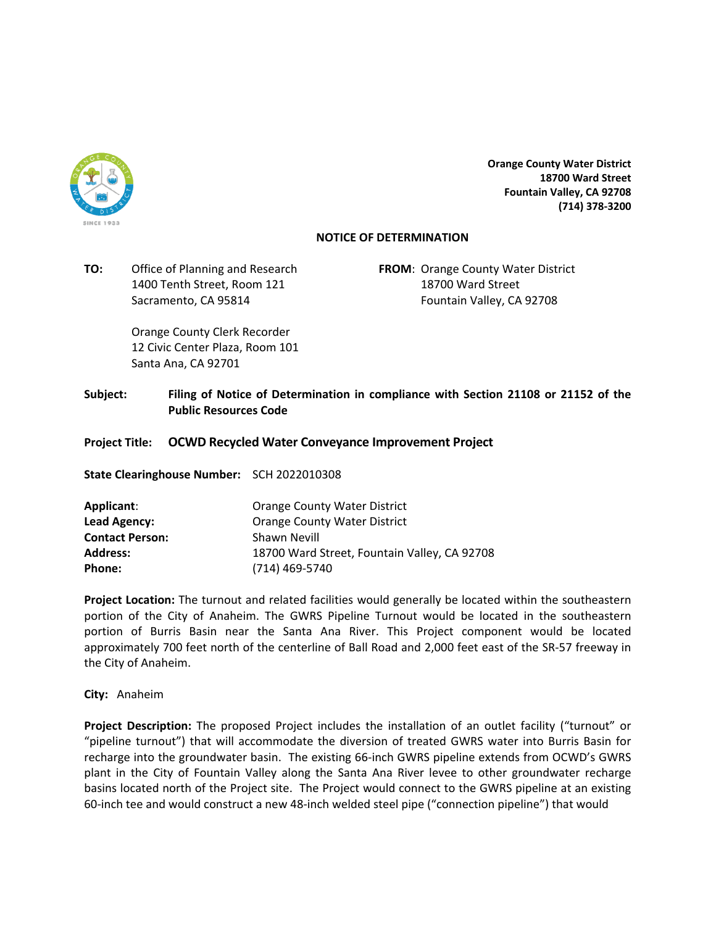

**Orange County Water District 18700 Ward Street Fountain Valley, CA 92708 (714) 378‐3200**

## **NOTICE OF DETERMINATION**

**TO:** Office of Planning and Research **FROM**: Orange County Water District 1400 Tenth Street, Room 121 18700 Ward Street

Sacramento, CA 95814 **Fountain Valley, CA 92708** 

 Orange County Clerk Recorder 12 Civic Center Plaza, Room 101 Santa Ana, CA 92701

**Subject: Filing of Notice of Determination in compliance with Section 21108 or 21152 of the Public Resources Code**

## **Project Title: OCWD Recycled Water Conveyance Improvement Project**

**State Clearinghouse Number:**  SCH 2022010308

| Applicant:             | <b>Orange County Water District</b>          |
|------------------------|----------------------------------------------|
| Lead Agency:           | <b>Orange County Water District</b>          |
| <b>Contact Person:</b> | Shawn Nevill                                 |
| <b>Address:</b>        | 18700 Ward Street, Fountain Valley, CA 92708 |
| <b>Phone:</b>          | (714) 469-5740                               |

**Project Location:** The turnout and related facilities would generally be located within the southeastern portion of the City of Anaheim. The GWRS Pipeline Turnout would be located in the southeastern portion of Burris Basin near the Santa Ana River. This Project component would be located approximately 700 feet north of the centerline of Ball Road and 2,000 feet east of the SR‐57 freeway in the City of Anaheim.

**City:** Anaheim

**Project Description:** The proposed Project includes the installation of an outlet facility ("turnout" or "pipeline turnout") that will accommodate the diversion of treated GWRS water into Burris Basin for recharge into the groundwater basin. The existing 66‐inch GWRS pipeline extends from OCWD's GWRS plant in the City of Fountain Valley along the Santa Ana River levee to other groundwater recharge basins located north of the Project site. The Project would connect to the GWRS pipeline at an existing 60‐inch tee and would construct a new 48‐inch welded steel pipe ("connection pipeline") that would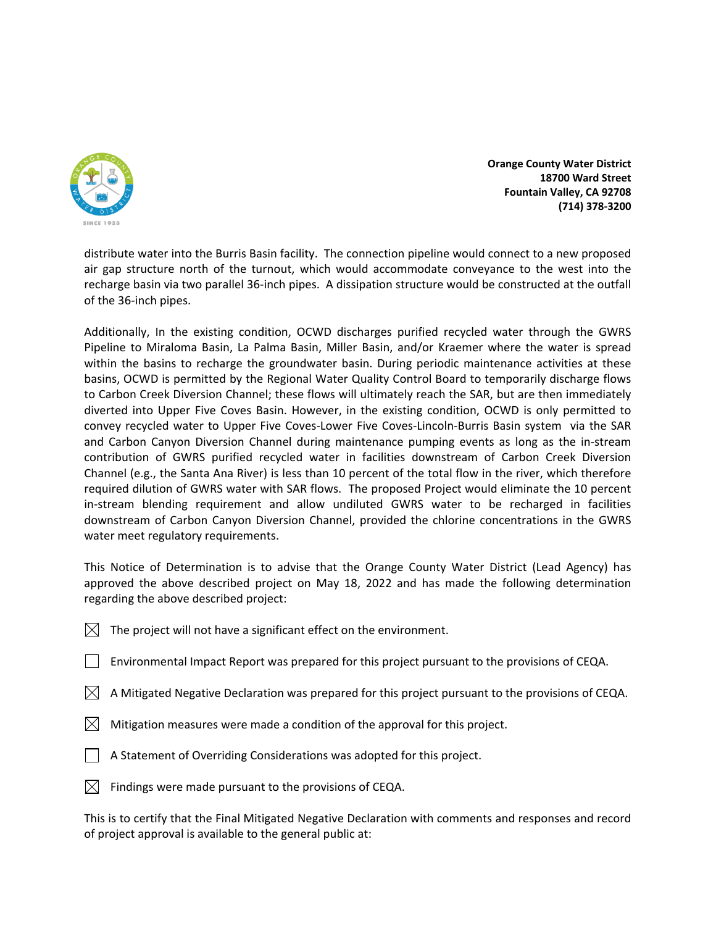

**Orange County Water District 18700 Ward Street Fountain Valley, CA 92708 (714) 378‐3200**

distribute water into the Burris Basin facility. The connection pipeline would connect to a new proposed air gap structure north of the turnout, which would accommodate conveyance to the west into the recharge basin via two parallel 36‐inch pipes. A dissipation structure would be constructed at the outfall of the 36‐inch pipes.

Additionally, In the existing condition, OCWD discharges purified recycled water through the GWRS Pipeline to Miraloma Basin, La Palma Basin, Miller Basin, and/or Kraemer where the water is spread within the basins to recharge the groundwater basin. During periodic maintenance activities at these basins, OCWD is permitted by the Regional Water Quality Control Board to temporarily discharge flows to Carbon Creek Diversion Channel; these flows will ultimately reach the SAR, but are then immediately diverted into Upper Five Coves Basin. However, in the existing condition, OCWD is only permitted to convey recycled water to Upper Five Coves‐Lower Five Coves‐Lincoln‐Burris Basin system via the SAR and Carbon Canyon Diversion Channel during maintenance pumping events as long as the in‐stream contribution of GWRS purified recycled water in facilities downstream of Carbon Creek Diversion Channel (e.g., the Santa Ana River) is less than 10 percent of the total flow in the river, which therefore required dilution of GWRS water with SAR flows. The proposed Project would eliminate the 10 percent in‐stream blending requirement and allow undiluted GWRS water to be recharged in facilities downstream of Carbon Canyon Diversion Channel, provided the chlorine concentrations in the GWRS water meet regulatory requirements.

This Notice of Determination is to advise that the Orange County Water District (Lead Agency) has approved the above described project on May 18, 2022 and has made the following determination regarding the above described project:

- $\boxtimes$  The project will not have a significant effect on the environment.
- Environmental Impact Report was prepared for this project pursuant to the provisions of CEQA.
- $\boxtimes$  A Mitigated Negative Declaration was prepared for this project pursuant to the provisions of CEQA.
- $\boxtimes$  Mitigation measures were made a condition of the approval for this project.
- A Statement of Overriding Considerations was adopted for this project.
- $\boxtimes$  Findings were made pursuant to the provisions of CEQA.

This is to certify that the Final Mitigated Negative Declaration with comments and responses and record of project approval is available to the general public at: